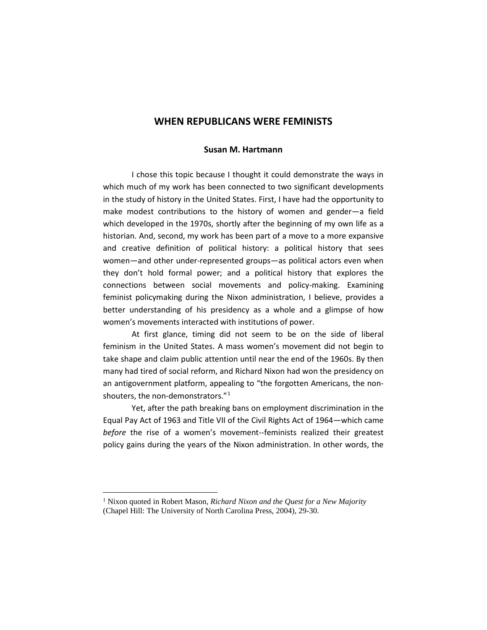## **WHEN REPUBLICANS WERE FEMINISTS**

## **Susan M. Hartmann**

I chose this topic because I thought it could demonstrate the ways in which much of my work has been connected to two significant developments in the study of history in the United States. First, I have had the opportunity to make modest contributions to the history of women and gender—a field which developed in the 1970s, shortly after the beginning of my own life as a historian. And, second, my work has been part of a move to a more expansive and creative definition of political history: a political history that sees women—and other under-represented groups—as political actors even when they don't hold formal power; and a political history that explores the connections between social movements and policy-making. Examining feminist policymaking during the Nixon administration, I believe, provides a better understanding of his presidency as a whole and a glimpse of how women's movements interacted with institutions of power.

At first glance, timing did not seem to be on the side of liberal feminism in the United States. A mass women's movement did not begin to take shape and claim public attention until near the end of the 1960s. By then many had tired of social reform, and Richard Nixon had won the presidency on an antigovernment platform, appealing to "the forgotten Americans, the nonshouters, the non-demonstrators."[1](#page-0-0)

Yet, after the path breaking bans on employment discrimination in the Equal Pay Act of 1963 and Title VII of the Civil Rights Act of 1964—which came *before* the rise of a women's movement--feminists realized their greatest policy gains during the years of the Nixon administration. In other words, the

<span id="page-0-0"></span> 1 Nixon quoted in Robert Mason, *Richard Nixon and the Quest for a New Majority* (Chapel Hill: The University of North Carolina Press, 2004), 29-30.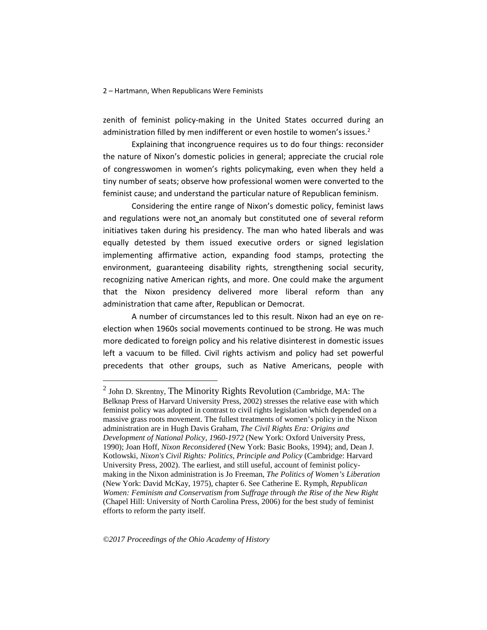zenith of feminist policy-making in the United States occurred during an administration filled by men indifferent or even hostile to women's issues. $2$ 

Explaining that incongruence requires us to do four things: reconsider the nature of Nixon's domestic policies in general; appreciate the crucial role of congresswomen in women's rights policymaking, even when they held a tiny number of seats; observe how professional women were converted to the feminist cause; and understand the particular nature of Republican feminism.

Considering the entire range of Nixon's domestic policy, feminist laws and regulations were not an anomaly but constituted one of several reform initiatives taken during his presidency. The man who hated liberals and was equally detested by them issued executive orders or signed legislation implementing affirmative action, expanding food stamps, protecting the environment, guaranteeing disability rights, strengthening social security, recognizing native American rights, and more. One could make the argument that the Nixon presidency delivered more liberal reform than any administration that came after, Republican or Democrat.

A number of circumstances led to this result. Nixon had an eye on reelection when 1960s social movements continued to be strong. He was much more dedicated to foreign policy and his relative disinterest in domestic issues left a vacuum to be filled. Civil rights activism and policy had set powerful precedents that other groups, such as Native Americans, people with

<span id="page-1-0"></span> $<sup>2</sup>$  John D. Skrentny, The Minority Rights Revolution (Cambridge, MA: The</sup> Belknap Press of Harvard University Press, 2002) stresses the relative ease with which feminist policy was adopted in contrast to civil rights legislation which depended on a massive grass roots movement. The fullest treatments of women's policy in the Nixon administration are in Hugh Davis Graham, *The Civil Rights Era: Origins and Development of National Policy, 1960-1972* (New York: Oxford University Press, 1990); Joan Hoff, *Nixon Reconsidered* (New York: Basic Books, 1994); and, Dean J. Kotlowski*, Nixon's Civil Rights: Politics, Principle and Policy* (Cambridge: Harvard University Press, 2002). The earliest, and still useful, account of feminist policymaking in the Nixon administration is Jo Freeman, *The Politics of Women's Liberation*  (New York: David McKay, 1975), chapter 6. See Catherine E. Rymph, *Republican Women: Feminism and Conservatism from Suffrage through the Rise of the New Right*  (Chapel Hill: University of North Carolina Press, 2006) for the best study of feminist efforts to reform the party itself.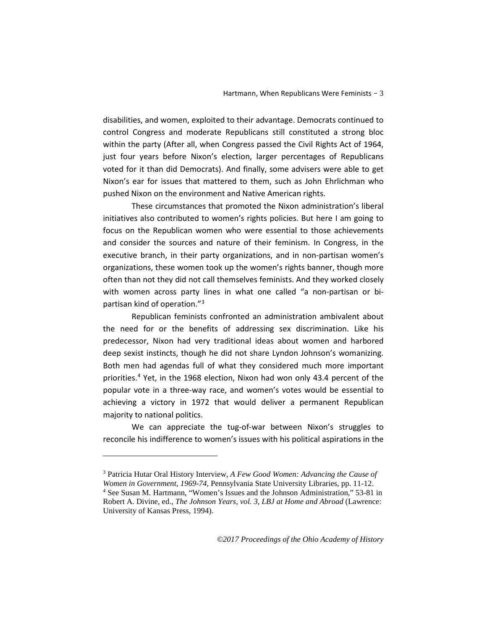disabilities, and women, exploited to their advantage. Democrats continued to control Congress and moderate Republicans still constituted a strong bloc within the party (After all, when Congress passed the Civil Rights Act of 1964, just four years before Nixon's election, larger percentages of Republicans voted for it than did Democrats). And finally, some advisers were able to get Nixon's ear for issues that mattered to them, such as John Ehrlichman who pushed Nixon on the environment and Native American rights.

These circumstances that promoted the Nixon administration's liberal initiatives also contributed to women's rights policies. But here I am going to focus on the Republican women who were essential to those achievements and consider the sources and nature of their feminism. In Congress, in the executive branch, in their party organizations, and in non-partisan women's organizations, these women took up the women's rights banner, though more often than not they did not call themselves feminists. And they worked closely with women across party lines in what one called "a non-partisan or bipartisan kind of operation."[3](#page-2-0)

Republican feminists confronted an administration ambivalent about the need for or the benefits of addressing sex discrimination. Like his predecessor, Nixon had very traditional ideas about women and harbored deep sexist instincts, though he did not share Lyndon Johnson's womanizing. Both men had agendas full of what they considered much more important priorities.[4](#page-2-1) Yet, in the 1968 election, Nixon had won only 43.4 percent of the popular vote in a three-way race, and women's votes would be essential to achieving a victory in 1972 that would deliver a permanent Republican majority to national politics.

We can appreciate the tug-of-war between Nixon's struggles to reconcile his indifference to women's issues with his political aspirations in the

-

<span id="page-2-0"></span><sup>3</sup> Patricia Hutar Oral History Interview, *A Few Good Women: Advancing the Cause of Women in Government, 1969-74,* Pennsylvania State University Libraries, pp. 11-12.

<span id="page-2-1"></span><sup>4</sup> See Susan M. Hartmann, "Women's Issues and the Johnson Administration," 53-81 in Robert A. Divine, ed., *The Johnson Years, vol. 3, LBJ at Home and Abroad* (Lawrence: University of Kansas Press, 1994).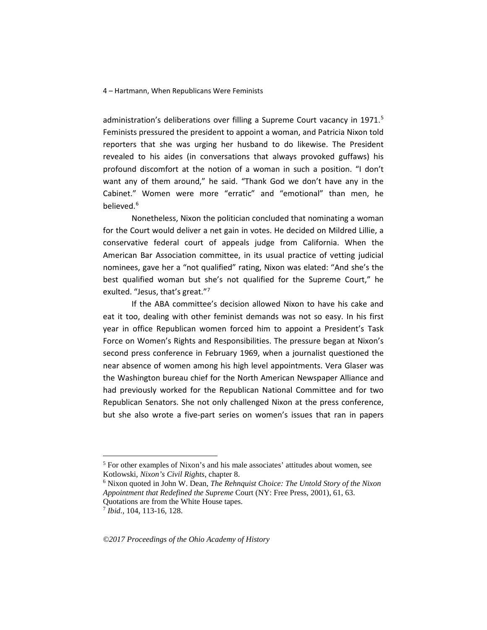administration's deliberations over filling a Supreme Court vacancy in  $1971$ .<sup>[5](#page-3-0)</sup> Feminists pressured the president to appoint a woman, and Patricia Nixon told reporters that she was urging her husband to do likewise. The President revealed to his aides (in conversations that always provoked guffaws) his profound discomfort at the notion of a woman in such a position. "I don't want any of them around," he said. "Thank God we don't have any in the Cabinet." Women were more "erratic" and "emotional" than men, he believed.<sup>[6](#page-3-1)</sup>

Nonetheless, Nixon the politician concluded that nominating a woman for the Court would deliver a net gain in votes. He decided on Mildred Lillie, a conservative federal court of appeals judge from California. When the American Bar Association committee, in its usual practice of vetting judicial nominees, gave her a "not qualified" rating, Nixon was elated: "And she's the best qualified woman but she's not qualified for the Supreme Court," he exulted. "Jesus, that's great."[7](#page-3-2)

If the ABA committee's decision allowed Nixon to have his cake and eat it too, dealing with other feminist demands was not so easy. In his first year in office Republican women forced him to appoint a President's Task Force on Women's Rights and Responsibilities. The pressure began at Nixon's second press conference in February 1969, when a journalist questioned the near absence of women among his high level appointments. Vera Glaser was the Washington bureau chief for the North American Newspaper Alliance and had previously worked for the Republican National Committee and for two Republican Senators. She not only challenged Nixon at the press conference, but she also wrote a five-part series on women's issues that ran in papers

<span id="page-3-0"></span> <sup>5</sup> For other examples of Nixon's and his male associates' attitudes about women, see Kotlowski, *Nixon's Civil Rights*, chapter 8.

<span id="page-3-1"></span><sup>6</sup> Nixon quoted in John W. Dean, *The Rehnquist Choice: The Untold Story of the Nixon Appointment that Redefined the Supreme* Court (NY: Free Press, 2001), 61, 63. Quotations are from the White House tapes.

<span id="page-3-2"></span><sup>7</sup> *Ibid.*, 104, 113-16, 128.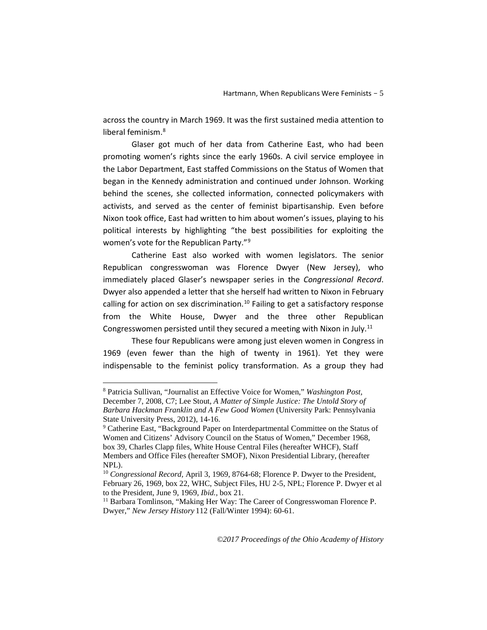across the country in March 1969. It was the first sustained media attention to liberal feminism.<sup>[8](#page-4-0)</sup>

Glaser got much of her data from Catherine East, who had been promoting women's rights since the early 1960s. A civil service employee in the Labor Department, East staffed Commissions on the Status of Women that began in the Kennedy administration and continued under Johnson. Working behind the scenes, she collected information, connected policymakers with activists, and served as the center of feminist bipartisanship. Even before Nixon took office, East had written to him about women's issues, playing to his political interests by highlighting "the best possibilities for exploiting the women's vote for the Republican Party."[9](#page-4-1)

Catherine East also worked with women legislators. The senior Republican congresswoman was Florence Dwyer (New Jersey), who immediately placed Glaser's newspaper series in the *Congressional Record*. Dwyer also appended a letter that she herself had written to Nixon in February calling for action on sex discrimination.<sup>[10](#page-4-2)</sup> Failing to get a satisfactory response from the White House, Dwyer and the three other Republican Congresswomen persisted until they secured a meeting with Nixon in July.<sup>[11](#page-4-3)</sup>

These four Republicans were among just eleven women in Congress in 1969 (even fewer than the high of twenty in 1961). Yet they were indispensable to the feminist policy transformation. As a group they had

<span id="page-4-0"></span> <sup>8</sup> Patricia Sullivan, "Journalist an Effective Voice for Women," *Washington Post,*  December 7, 2008, C7; Lee Stout, *A Matter of Simple Justice: The Untold Story of Barbara Hackman Franklin and A Few Good Women* (University Park: Pennsylvania State University Press, 2012), 14-16.

<span id="page-4-1"></span><sup>9</sup> Catherine East, "Background Paper on Interdepartmental Committee on the Status of Women and Citizens' Advisory Council on the Status of Women," December 1968, box 39, Charles Clapp files, White House Central Files (hereafter WHCF), Staff Members and Office Files (hereafter SMOF), Nixon Presidential Library, (hereafter NPL).

<span id="page-4-2"></span><sup>10</sup> *Congressional Record,* April 3, 1969, 8764-68; Florence P. Dwyer to the President, February 26, 1969, box 22, WHC, Subject Files, HU 2-5, NPL; Florence P. Dwyer et al to the President, June 9, 1969, *Ibid.,* box 21.

<span id="page-4-3"></span><sup>&</sup>lt;sup>11</sup> Barbara Tomlinson, "Making Her Way: The Career of Congresswoman Florence P. Dwyer," *New Jersey History* 112 (Fall/Winter 1994): 60-61.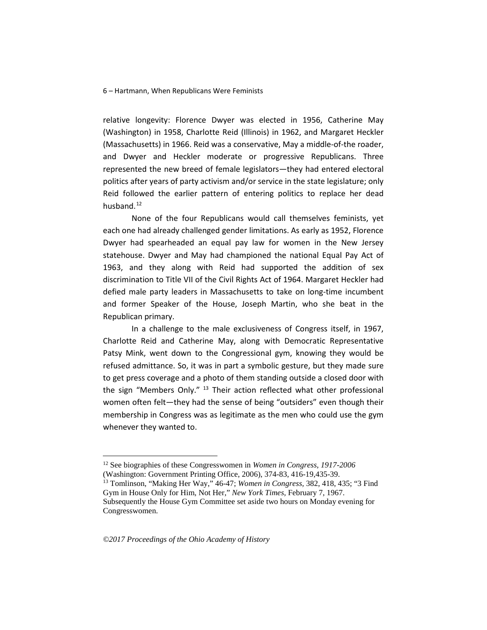relative longevity: Florence Dwyer was elected in 1956, Catherine May (Washington) in 1958, Charlotte Reid (Illinois) in 1962, and Margaret Heckler (Massachusetts) in 1966. Reid was a conservative, May a middle-of-the roader, and Dwyer and Heckler moderate or progressive Republicans. Three represented the new breed of female legislators—they had entered electoral politics after years of party activism and/or service in the state legislature; only Reid followed the earlier pattern of entering politics to replace her dead husband.<sup>[12](#page-5-0)</sup>

None of the four Republicans would call themselves feminists, yet each one had already challenged gender limitations. As early as 1952, Florence Dwyer had spearheaded an equal pay law for women in the New Jersey statehouse. Dwyer and May had championed the national Equal Pay Act of 1963, and they along with Reid had supported the addition of sex discrimination to Title VII of the Civil Rights Act of 1964. Margaret Heckler had defied male party leaders in Massachusetts to take on long-time incumbent and former Speaker of the House, Joseph Martin, who she beat in the Republican primary.

In a challenge to the male exclusiveness of Congress itself, in 1967, Charlotte Reid and Catherine May, along with Democratic Representative Patsy Mink, went down to the Congressional gym, knowing they would be refused admittance. So, it was in part a symbolic gesture, but they made sure to get press coverage and a photo of them standing outside a closed door with the sign "Members Only." <sup>[13](#page-5-1)</sup> Their action reflected what other professional women often felt—they had the sense of being "outsiders" even though their membership in Congress was as legitimate as the men who could use the gym whenever they wanted to.

<span id="page-5-0"></span> <sup>12</sup> See biographies of these Congresswomen in *Women in Congress, 1917-2006* (Washington: Government Printing Office, 2006), 374-83, 416-19,435-39.

<span id="page-5-1"></span><sup>13</sup> Tomlinson, "Making Her Way," 46-47; *Women in Congress,* 382, 418, 435; "3 Find Gym in House Only for Him, Not Her," *New York Times,* February 7, 1967. Subsequently the House Gym Committee set aside two hours on Monday evening for Congresswomen.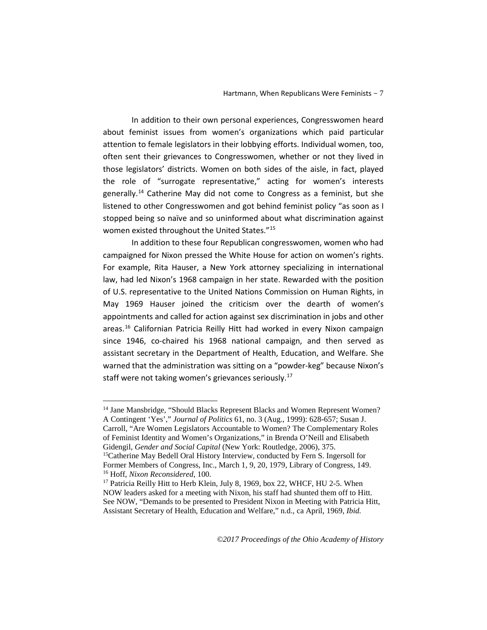In addition to their own personal experiences, Congresswomen heard about feminist issues from women's organizations which paid particular attention to female legislators in their lobbying efforts. Individual women, too, often sent their grievances to Congresswomen, whether or not they lived in those legislators' districts. Women on both sides of the aisle, in fact, played the role of "surrogate representative," acting for women's interests generally.<sup>[14](#page-6-0)</sup> Catherine May did not come to Congress as a feminist, but she listened to other Congresswomen and got behind feminist policy "as soon as I stopped being so naïve and so uninformed about what discrimination against women existed throughout the United States.["15](#page-6-1)

In addition to these four Republican congresswomen, women who had campaigned for Nixon pressed the White House for action on women's rights. For example, Rita Hauser, a New York attorney specializing in international law, had led Nixon's 1968 campaign in her state. Rewarded with the position of U.S. representative to the United Nations Commission on Human Rights, in May 1969 Hauser joined the criticism over the dearth of women's appointments and called for action against sex discrimination in jobs and other areas.[16](#page-6-2) Californian Patricia Reilly Hitt had worked in every Nixon campaign since 1946, co-chaired his 1968 national campaign, and then served as assistant secretary in the Department of Health, Education, and Welfare. She warned that the administration was sitting on a "powder-keg" because Nixon's staff were not taking women's grievances seriously.<sup>[17](#page-6-3)</sup>

<span id="page-6-0"></span><sup>&</sup>lt;sup>14</sup> Jane Mansbridge, "Should Blacks Represent Blacks and Women Represent Women? A Contingent 'Yes'," *Journal of Politics* 61, no. 3 (Aug., 1999): 628-657; Susan J. Carroll, "Are Women Legislators Accountable to Women? The Complementary Roles of Feminist Identity and Women's Organizations," in Brenda O'Neill and Elisabeth Gidengil, *Gender and Social Capital* (New York: Routledge, 2006), 375. <sup>15</sup>Catherine May Bedell Oral History Interview, conducted by Fern S. Ingersoll for Former Members of Congress, Inc., March 1, 9, 20, 1979, Library of Congress, 149.

<span id="page-6-1"></span><sup>16</sup> Hoff, *Nixon Reconsidered,* 100.

<span id="page-6-3"></span><span id="page-6-2"></span><sup>&</sup>lt;sup>17</sup> Patricia Reilly Hitt to Herb Klein, July 8, 1969, box 22, WHCF, HU 2-5. When NOW leaders asked for a meeting with Nixon, his staff had shunted them off to Hitt. See NOW, "Demands to be presented to President Nixon in Meeting with Patricia Hitt, Assistant Secretary of Health, Education and Welfare," n.d., ca April, 1969, *Ibid.*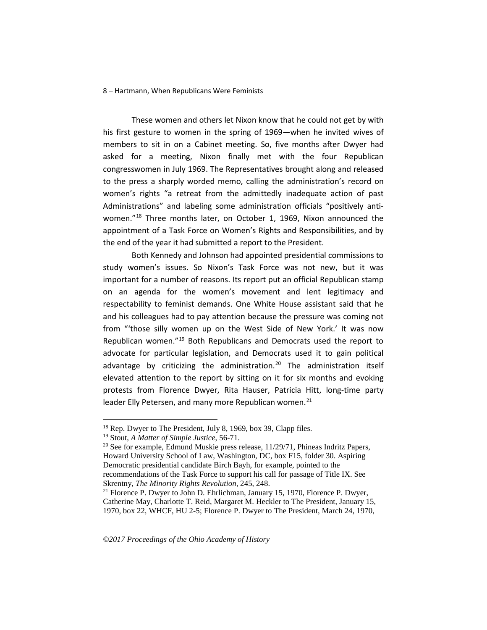These women and others let Nixon know that he could not get by with his first gesture to women in the spring of 1969—when he invited wives of members to sit in on a Cabinet meeting. So, five months after Dwyer had asked for a meeting, Nixon finally met with the four Republican congresswomen in July 1969. The Representatives brought along and released to the press a sharply worded memo, calling the administration's record on women's rights "a retreat from the admittedly inadequate action of past Administrations" and labeling some administration officials "positively antiwomen."[18](#page-7-0) Three months later, on October 1, 1969, Nixon announced the appointment of a Task Force on Women's Rights and Responsibilities, and by the end of the year it had submitted a report to the President.

Both Kennedy and Johnson had appointed presidential commissions to study women's issues. So Nixon's Task Force was not new, but it was important for a number of reasons. Its report put an official Republican stamp on an agenda for the women's movement and lent legitimacy and respectability to feminist demands. One White House assistant said that he and his colleagues had to pay attention because the pressure was coming not from "'those silly women up on the West Side of New York.' It was now Republican women."[19](#page-7-1) Both Republicans and Democrats used the report to advocate for particular legislation, and Democrats used it to gain political advantage by criticizing the administration.<sup>[20](#page-7-2)</sup> The administration itself elevated attention to the report by sitting on it for six months and evoking protests from Florence Dwyer, Rita Hauser, Patricia Hitt, long-time party leader Elly Petersen, and many more Republican women.<sup>[21](#page-7-3)</sup>

<span id="page-7-0"></span><sup>&</sup>lt;sup>18</sup> Rep. Dwyer to The President, July 8, 1969, box 39, Clapp files.<br><sup>19</sup> Stout, *A Matter of Simple Justice*, 56-71.

<span id="page-7-2"></span><span id="page-7-1"></span><sup>&</sup>lt;sup>20</sup> See for example, Edmund Muskie press release, 11/29/71, Phineas Indritz Papers, Howard University School of Law, Washington, DC, box F15, folder 30. Aspiring Democratic presidential candidate Birch Bayh, for example, pointed to the recommendations of the Task Force to support his call for passage of Title IX. See Skrentny, *The Minority Rights Revolution,* 245, 248.

<span id="page-7-3"></span> $21$  Florence P. Dwyer to John D. Ehrlichman, January 15, 1970, Florence P. Dwyer, Catherine May, Charlotte T. Reid, Margaret M. Heckler to The President, January 15, 1970, box 22, WHCF, HU 2-5; Florence P. Dwyer to The President, March 24, 1970,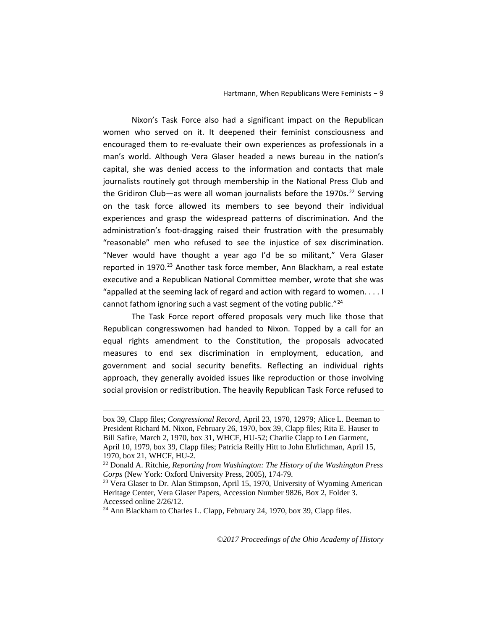Nixon's Task Force also had a significant impact on the Republican women who served on it. It deepened their feminist consciousness and encouraged them to re-evaluate their own experiences as professionals in a man's world. Although Vera Glaser headed a news bureau in the nation's capital, she was denied access to the information and contacts that male journalists routinely got through membership in the National Press Club and the Gridiron Club—as were all woman journalists before the 1970s.<sup>[22](#page-8-0)</sup> Serving on the task force allowed its members to see beyond their individual experiences and grasp the widespread patterns of discrimination. And the administration's foot-dragging raised their frustration with the presumably "reasonable" men who refused to see the injustice of sex discrimination. "Never would have thought a year ago I'd be so militant," Vera Glaser reported in 1970.<sup>[23](#page-8-1)</sup> Another task force member, Ann Blackham, a real estate executive and a Republican National Committee member, wrote that she was "appalled at the seeming lack of regard and action with regard to women. . . . I cannot fathom ignoring such a vast segment of the voting public."<sup>[24](#page-8-2)</sup>

The Task Force report offered proposals very much like those that Republican congresswomen had handed to Nixon. Topped by a call for an equal rights amendment to the Constitution, the proposals advocated measures to end sex discrimination in employment, education, and government and social security benefits. Reflecting an individual rights approach, they generally avoided issues like reproduction or those involving social provision or redistribution. The heavily Republican Task Force refused to

-

box 39, Clapp files; *Congressional Record,* April 23, 1970, 12979; Alice L. Beeman to President Richard M. Nixon, February 26, 1970, box 39, Clapp files; Rita E. Hauser to Bill Safire, March 2, 1970, box 31, WHCF, HU-52; Charlie Clapp to Len Garment, April 10, 1979, box 39, Clapp files; Patricia Reilly Hitt to John Ehrlichman, April 15, 1970, box 21, WHCF, HU-2.<br><sup>22</sup> Donald A. Ritchie, *Reporting from Washington: The History of the Washington Press* 

<span id="page-8-0"></span>*Corps* (New York: Oxford University Press, 2005), 174-79.

<span id="page-8-1"></span><sup>&</sup>lt;sup>23</sup> Vera Glaser to Dr. Alan Stimpson, April 15, 1970, University of Wyoming American Heritage Center, Vera Glaser Papers, Accession Number 9826, Box 2, Folder 3. Accessed online 2/26/12.

<span id="page-8-2"></span><sup>24</sup> Ann Blackham to Charles L. Clapp, February 24, 1970, box 39, Clapp files.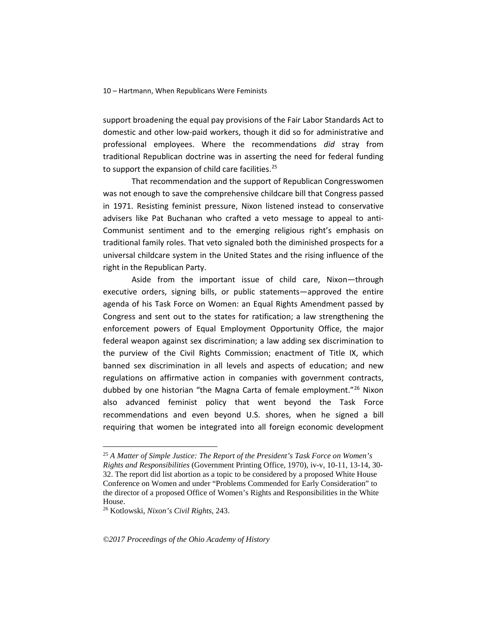support broadening the equal pay provisions of the Fair Labor Standards Act to domestic and other low-paid workers, though it did so for administrative and professional employees. Where the recommendations *did* stray from traditional Republican doctrine was in asserting the need for federal funding to support the expansion of child care facilities.<sup>[25](#page-9-0)</sup>

That recommendation and the support of Republican Congresswomen was not enough to save the comprehensive childcare bill that Congress passed in 1971. Resisting feminist pressure, Nixon listened instead to conservative advisers like Pat Buchanan who crafted a veto message to appeal to anti-Communist sentiment and to the emerging religious right's emphasis on traditional family roles. That veto signaled both the diminished prospects for a universal childcare system in the United States and the rising influence of the right in the Republican Party.

Aside from the important issue of child care, Nixon—through executive orders, signing bills, or public statements—approved the entire agenda of his Task Force on Women: an Equal Rights Amendment passed by Congress and sent out to the states for ratification; a law strengthening the enforcement powers of Equal Employment Opportunity Office, the major federal weapon against sex discrimination; a law adding sex discrimination to the purview of the Civil Rights Commission; enactment of Title IX, which banned sex discrimination in all levels and aspects of education; and new regulations on affirmative action in companies with government contracts, dubbed by one historian "the Magna Carta of female employment.["26](#page-9-1) Nixon also advanced feminist policy that went beyond the Task Force recommendations and even beyond U.S. shores, when he signed a bill requiring that women be integrated into all foreign economic development

<span id="page-9-0"></span> <sup>25</sup> *A Matter of Simple Justice: The Report of the President's Task Force on Women's Rights and Responsibilities* (Government Printing Office, 1970), iv-v, 10-11, 13-14, 30- 32. The report did list abortion as a topic to be considered by a proposed White House Conference on Women and under "Problems Commended for Early Consideration" to the director of a proposed Office of Women's Rights and Responsibilities in the White House.

<span id="page-9-1"></span><sup>26</sup> Kotlowski, *Nixon's Civil Rights*, 243.